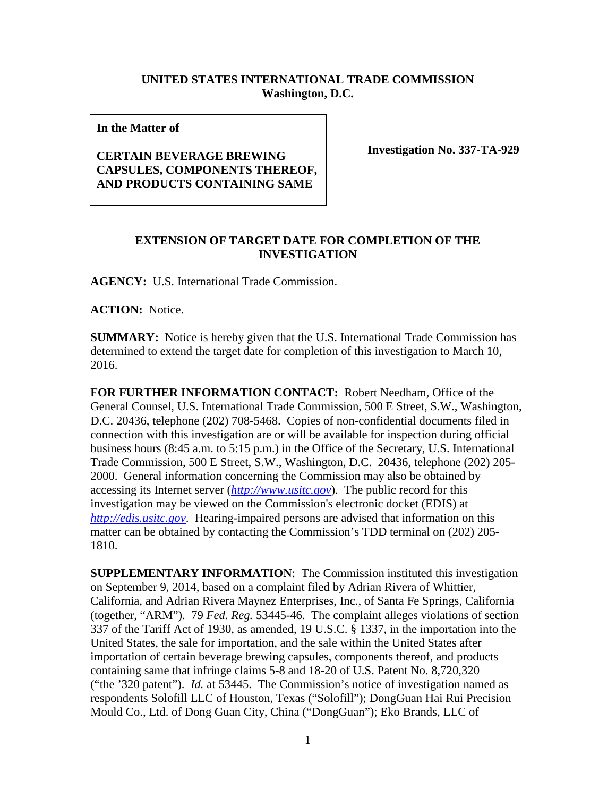## **UNITED STATES INTERNATIONAL TRADE COMMISSION Washington, D.C.**

**In the Matter of** 

## **CERTAIN BEVERAGE BREWING CAPSULES, COMPONENTS THEREOF, AND PRODUCTS CONTAINING SAME**

**Investigation No. 337-TA-929**

## **EXTENSION OF TARGET DATE FOR COMPLETION OF THE INVESTIGATION**

**AGENCY:** U.S. International Trade Commission.

**ACTION:** Notice.

**SUMMARY:** Notice is hereby given that the U.S. International Trade Commission has determined to extend the target date for completion of this investigation to March 10, 2016.

**FOR FURTHER INFORMATION CONTACT:** Robert Needham, Office of the General Counsel, U.S. International Trade Commission, 500 E Street, S.W., Washington, D.C. 20436, telephone (202) 708-5468. Copies of non-confidential documents filed in connection with this investigation are or will be available for inspection during official business hours (8:45 a.m. to 5:15 p.m.) in the Office of the Secretary, U.S. International Trade Commission, 500 E Street, S.W., Washington, D.C. 20436, telephone (202) 205- 2000. General information concerning the Commission may also be obtained by accessing its Internet server (*[http://www.usitc.gov](http://www.usitc.gov/)*). The public record for this investigation may be viewed on the Commission's electronic docket (EDIS) at *[http://edis.usitc.gov](http://edis.usitc.gov/)*. Hearing-impaired persons are advised that information on this matter can be obtained by contacting the Commission's TDD terminal on (202) 205- 1810.

**SUPPLEMENTARY INFORMATION**: The Commission instituted this investigation on September 9, 2014, based on a complaint filed by Adrian Rivera of Whittier, California, and Adrian Rivera Maynez Enterprises, Inc., of Santa Fe Springs, California (together, "ARM"). 79 *Fed. Reg.* 53445-46. The complaint alleges violations of section 337 of the Tariff Act of 1930, as amended, 19 U.S.C. § 1337, in the importation into the United States, the sale for importation, and the sale within the United States after importation of certain beverage brewing capsules, components thereof, and products containing same that infringe claims 5-8 and 18-20 of U.S. Patent No. 8,720,320 ("the '320 patent"). *Id.* at 53445. The Commission's notice of investigation named as respondents Solofill LLC of Houston, Texas ("Solofill"); DongGuan Hai Rui Precision Mould Co., Ltd. of Dong Guan City, China ("DongGuan"); Eko Brands, LLC of